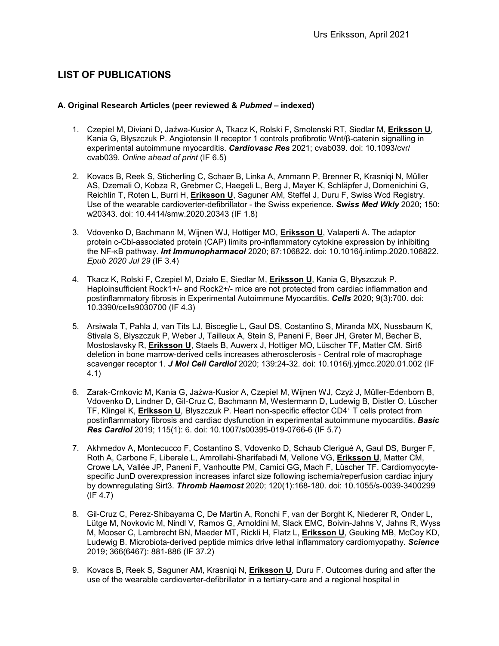# **LIST OF PUBLICATIONS**

### **A. Original Research Articles (peer reviewed &** *Pubmed* **– indexed)**

- 1. Czepiel M, Diviani D, Jaźwa-Kusior A, Tkacz K, Rolski F, Smolenski RT, Siedlar M, **Eriksson U**, Kania G, Błyszczuk P. Angiotensin II receptor 1 controls profibrotic Wnt/β-catenin signalling in experimental autoimmune myocarditis. *Cardiovasc Res* 2021; cvab039. doi: 10.1093/cvr/ cvab039. *Online ahead of print* (IF 6.5)
- 2. Kovacs B, Reek S, Sticherling C, Schaer B, Linka A, Ammann P, Brenner R, Krasniqi N, Müller AS, Dzemali O, Kobza R, Grebmer C, Haegeli L, Berg J, Mayer K, Schläpfer J, Domenichini G, Reichlin T, Roten L, Burri H, **Eriksson U**, Saguner AM, Steffel J, Duru F, Swiss Wcd Registry. Use of the wearable cardioverter-defibrillator - the Swiss experience. *Swiss Med Wkly* 2020; 150: w20343. doi: 10.4414/smw.2020.20343 (IF 1.8)
- 3. Vdovenko D, Bachmann M, Wijnen WJ, Hottiger MO, **Eriksson U**, Valaperti A. The adaptor protein c-Cbl-associated protein (CAP) limits pro-inflammatory cytokine expression by inhibiting the NF-κB pathway. *Int Immunopharmacol* 2020; 87:106822. doi: 10.1016/j.intimp.2020.106822. *Epub 2020 Jul 29* (IF 3.4)
- 4. Tkacz K, Rolski F, Czepiel M, Działo E, Siedlar M, **Eriksson U**, Kania G, Błyszczuk P. Haploinsufficient Rock1+/- and Rock2+/- mice are not protected from cardiac inflammation and postinflammatory fibrosis in Experimental Autoimmune Myocarditis. *Cells* 2020; 9(3):700. doi: 10.3390/cells9030700 (IF 4.3)
- 5. Arsiwala T, Pahla J, van Tits LJ, Bisceglie L, Gaul DS, Costantino S, Miranda MX, Nussbaum K, Stivala S, Blyszczuk P, Weber J, Tailleux A, Stein S, Paneni F, Beer JH, Greter M, Becher B, Mostoslavsky R, **Eriksson U**, Staels B, Auwerx J, Hottiger MO, Lüscher TF, Matter CM. Sirt6 deletion in bone marrow-derived cells increases atherosclerosis - Central role of macrophage scavenger receptor 1. *J Mol Cell Cardiol* 2020; 139:24-32. doi: 10.1016/j.yjmcc.2020.01.002 (IF 4.1)
- 6. Zarak-Crnkovic M, Kania G, Jaźwa-Kusior A, Czepiel M, Wijnen WJ, Czyż J, Müller-Edenborn B, Vdovenko D, Lindner D, Gil-Cruz C, Bachmann M, Westermann D, Ludewig B, Distler O, Lüscher TF, Klingel K, **Eriksson U**, Błyszczuk P. Heart non-specific effector CD4<sup>+</sup> T cells protect from postinflammatory fibrosis and cardiac dysfunction in experimental autoimmune myocarditis. *Basic Res Cardiol* 2019; 115(1): 6. doi: 10.1007/s00395-019-0766-6 (IF 5.7)
- 7. Akhmedov A, Montecucco F, Costantino S, Vdovenko D, Schaub Clerigué A, Gaul DS, Burger F, Roth A, Carbone F, Liberale L, Amrollahi-Sharifabadi M, Vellone VG, **Eriksson U**, Matter CM, Crowe LA, Vallée JP, Paneni F, Vanhoutte PM, Camici GG, Mach F, Lüscher TF. Cardiomyocytespecific JunD overexpression increases infarct size following ischemia/reperfusion cardiac injury by downregulating Sirt3. *Thromb Haemost* 2020; 120(1):168-180. doi: 10.1055/s-0039-3400299  $(IF 4.7)$
- 8. Gil-Cruz C, Perez-Shibayama C, De Martin A, Ronchi F, van der Borght K, Niederer R, Onder L, Lütge M, Novkovic M, Nindl V, Ramos G, Arnoldini M, Slack EMC, Boivin-Jahns V, Jahns R, Wyss M, Mooser C, Lambrecht BN, Maeder MT, Rickli H, Flatz L, **Eriksson U**, Geuking MB, McCoy KD, Ludewig B. Microbiota-derived peptide mimics drive lethal inflammatory cardiomyopathy. *Science* 2019; 366(6467): 881-886 (IF 37.2)
- 9. Kovacs B, Reek S, Saguner AM, Krasniqi N, **Eriksson U**, Duru F. Outcomes during and after the use of the wearable cardioverter-defibrillator in a tertiary-care and a regional hospital in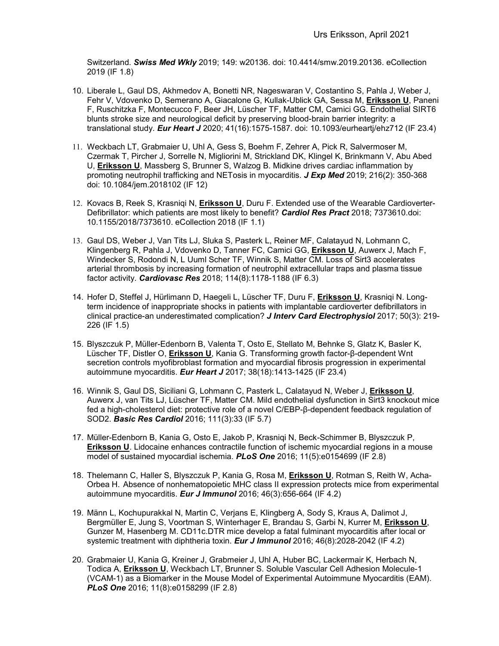Switzerland. *Swiss Med Wkly* 2019; 149: w20136. doi: 10.4414/smw.2019.20136. eCollection 2019 (IF 1.8)

- 10. Liberale L, Gaul DS, Akhmedov A, Bonetti NR, Nageswaran V, Costantino S, Pahla J, Weber J, Fehr V, Vdovenko D, Semerano A, Giacalone G, Kullak-Ublick GA, Sessa M, **Eriksson U**, Paneni F, Ruschitzka F, Montecucco F, Beer JH, Lüscher TF, Matter CM, Camici GG. Endothelial SIRT6 blunts stroke size and neurological deficit by preserving blood-brain barrier integrity: a translational study. *Eur Heart J* 2020; 41(16):1575-1587. doi: 10.1093/eurheartj/ehz712 (IF 23.4)
- 11. Weckbach LT, Grabmaier U, Uhl A, Gess S, Boehm F, Zehrer A, Pick R, Salvermoser M, Czermak T, Pircher J, Sorrelle N, Migliorini M, Strickland DK, Klingel K, Brinkmann V, Abu Abed U, **Eriksson U**, Massberg S, Brunner S, Walzog B. Midkine drives cardiac inflammation by promoting neutrophil trafficking and NETosis in myocarditis. *J Exp Med* 2019; 216(2): 350-368 doi: 10.1084/jem.2018102 (IF 12)
- 12. Kovacs B, Reek S, Krasniqi N, **Eriksson U**, Duru F. Extended use of the Wearable Cardioverter-Defibrillator: which patients are most likely to benefit? *Cardiol Res Pract* 2018; 7373610.doi: 10.1155/2018/7373610. eCollection 2018 (IF 1.1)
- 13. Gaul DS, Weber J, Van Tits LJ, Sluka S, Pasterk L, Reiner MF, Calatayud N, Lohmann C, Klingenberg R, Pahla J, Vdovenko D, Tanner FC, Camici GG, **Eriksson U**, Auwerx J, Mach F, Windecker S, Rodondi N, L Uuml Scher TF, Winnik S, Matter CM. Loss of Sirt3 accelerates arterial thrombosis by increasing formation of neutrophil extracellular traps and plasma tissue factor activity. *Cardiovasc Res* 2018; 114(8):1178-1188 (IF 6.3)
- 14. Hofer D, Steffel J, Hürlimann D, Haegeli L, Lüscher TF, Duru F, **Eriksson U**, Krasniqi N. Longterm incidence of inappropriate shocks in patients with implantable cardioverter defibrillators in clinical practice-an underestimated complication? *J Interv Card Electrophysiol* 2017; 50(3): 219- 226 (IF 1.5)
- 15. Blyszczuk P, Müller-Edenborn B, Valenta T, Osto E, Stellato M, Behnke S, Glatz K, Basler K, Lüscher TF, Distler O, **Eriksson U**, Kania G. Transforming growth factor-β-dependent Wnt secretion controls myofibroblast formation and myocardial fibrosis progression in experimental autoimmune myocarditis. *Eur Heart J* 2017; 38(18):1413-1425 (IF 23.4)
- 16. Winnik S, Gaul DS, Siciliani G, Lohmann C, Pasterk L, Calatayud N, Weber J, **Eriksson U**, Auwerx J, van Tits LJ, Lüscher TF, Matter CM. Mild endothelial dysfunction in Sirt3 knockout mice fed a high-cholesterol diet: protective role of a novel C/EBP-β-dependent feedback regulation of SOD2. *Basic Res Cardiol* 2016; 111(3):33 (IF 5.7)
- 17. Müller-Edenborn B, Kania G, Osto E, Jakob P, Krasniqi N, Beck-Schimmer B, Blyszczuk P, **Eriksson U**. Lidocaine enhances contractile function of ischemic myocardial regions in a mouse model of sustained myocardial ischemia. *PLoS One* 2016; 11(5):e0154699 (IF 2.8)
- 18. Thelemann C, Haller S, Blyszczuk P, Kania G, Rosa M, **Eriksson U**, Rotman S, Reith W, Acha-Orbea H. Absence of nonhematopoietic MHC class II expression protects mice from experimental autoimmune myocarditis. *Eur J Immunol* 2016; 46(3):656-664 (IF 4.2)
- 19. Männ L, Kochupurakkal N, Martin C, Verjans E, Klingberg A, Sody S, Kraus A, Dalimot J, Bergmüller E, Jung S, Voortman S, Winterhager E, Brandau S, Garbi N, Kurrer M, **Eriksson U**, Gunzer M, Hasenberg M. CD11c.DTR mice develop a fatal fulminant myocarditis after local or systemic treatment with diphtheria toxin. *Eur J Immunol* 2016; 46(8):2028-2042 (IF 4.2)
- 20. Grabmaier U, Kania G, Kreiner J, Grabmeier J, Uhl A, Huber BC, Lackermair K, Herbach N, Todica A, **Eriksson U**, Weckbach LT, Brunner S. Soluble Vascular Cell Adhesion Molecule-1 (VCAM-1) as a Biomarker in the Mouse Model of Experimental Autoimmune Myocarditis (EAM). *PLoS One* 2016; 11(8):e0158299 (IF 2.8)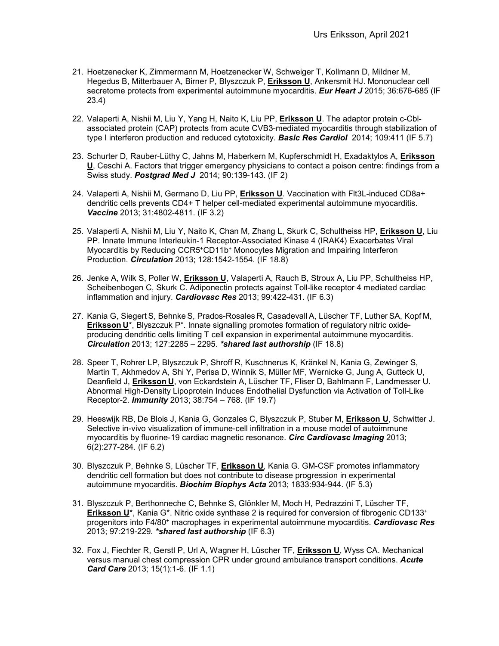- 21. Hoetzenecker K, Zimmermann M, Hoetzenecker W, Schweiger T, Kollmann D, Mildner M, Hegedus B, Mitterbauer A, Birner P, Blyszczuk P, **Eriksson U**, Ankersmit HJ. Mononuclear cell secretome protects from experimental autoimmune myocarditis. *Eur Heart J* 2015; 36:676-685 (IF 23.4)
- 22. Valaperti A, Nishii M, Liu Y, Yang H, Naito K, Liu PP, **Eriksson U**. The adaptor protein c-Cblassociated protein (CAP) protects from acute CVB3-mediated myocarditis through stabilization of type I interferon production and reduced cytotoxicity. *Basic Res Cardiol* 2014; 109:411 (IF 5.7)
- 23. Schurter D, Rauber-Lüthy C, Jahns M, Haberkern M, Kupferschmidt H, Exadaktylos A, **Eriksson U**, Ceschi A. Factors that trigger emergency physicians to contact a poison centre: findings from a Swiss study. *Postgrad Med J* 2014; 90:139-143. (IF 2)
- 24. Valaperti A, Nishii M, Germano D, Liu PP, **Eriksson U**. Vaccination with Flt3L-induced CD8a+ dendritic cells prevents CD4+ T helper cell-mediated experimental autoimmune myocarditis. *Vaccine* 2013; 31:4802-4811. (IF 3.2)
- 25. Valaperti A, Nishii M, Liu Y, Naito K, Chan M, Zhang L, Skurk C, Schultheiss HP, **Eriksson U**, Liu PP. Innate Immune Interleukin-1 Receptor-Associated Kinase 4 (IRAK4) Exacerbates Viral Myocarditis by Reducing CCR5+CD11b+ Monocytes Migration and Impairing Interferon Production. *Circulation* 2013; 128:1542-1554. (IF 18.8)
- 26. Jenke A, Wilk S, Poller W, **Eriksson U**, Valaperti A, Rauch B, Stroux A, Liu PP, Schultheiss HP, Scheibenbogen C, Skurk C. Adiponectin protects against Toll-like receptor 4 mediated cardiac inflammation and injury. *Cardiovasc Res* 2013; 99:422-431. (IF 6.3)
- 27. Kania G, Siegert S, Behnke S, Prados-Rosales R, Casadevall A, Lüscher TF, Luther SA, Kopf M, **Eriksson U**\*, Blyszczuk P\*. Innate signalling promotes formation of regulatory nitric oxideproducing dendritic cells limiting T cell expansion in experimental autoimmune myocarditis. *Circulation* 2013; 127:2285 – 2295. *\*shared last authorship* (IF 18.8)
- 28. Speer T, Rohrer LP, Blyszczuk P, Shroff R, Kuschnerus K, Kränkel N, Kania G, Zewinger S, Martin T, Akhmedov A, Shi Y, Perisa D, Winnik S, Müller MF, Wernicke G, Jung A, Gutteck U, Deanfield J, **Eriksson U**, von Eckardstein A, Lüscher TF, Fliser D, Bahlmann F, Landmesser U. Abnormal High-Density Lipoprotein Induces Endothelial Dysfunction via Activation of Toll-Like Receptor-2. *Immunity* 2013; 38:754 – 768. (IF 19.7)
- 29. Heeswijk RB, De Blois J, Kania G, Gonzales C, Blyszczuk P, Stuber M, **Eriksson U**, Schwitter J. Selective in-vivo visualization of immune-cell infiltration in a mouse model of autoimmune myocarditis by fluorine-19 cardiac magnetic resonance. *Circ Cardiovasc Imaging* 2013; 6(2):277-284. (IF 6.2)
- 30. Blyszczuk P, Behnke S, Lüscher TF, **Eriksson U**, Kania G. GM-CSF promotes inflammatory dendritic cell formation but does not contribute to disease progression in experimental autoimmune myocarditis. *Biochim Biophys Acta* 2013; 1833:934-944*.* (IF 5.3)
- 31. Blyszczuk P, Berthonneche C, Behnke S, Glönkler M, Moch H, Pedrazzini T, Lüscher TF, **Eriksson U**\*, Kania G<sup>\*</sup>. Nitric oxide synthase 2 is required for conversion of fibrogenic CD133<sup>+</sup> progenitors into F4/80<sup>+</sup> macrophages in experimental autoimmune myocarditis. *Cardiovasc Res* 2013; 97:219-229*. \*shared last authorship* (IF 6.3)
- 32. Fox J, Fiechter R, Gerstl P, Url A, Wagner H, Lüscher TF, **Eriksson U**, Wyss CA. Mechanical versus manual chest compression CPR under ground ambulance transport conditions. *Acute Card Care* 2013; 15(1):1-6. (IF 1.1)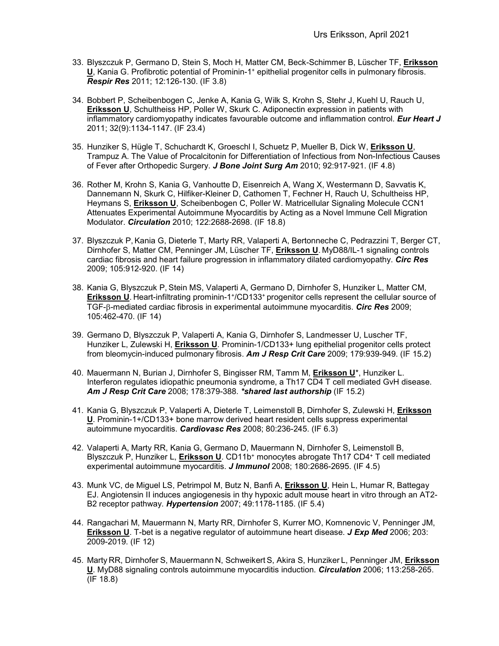- 33. Blyszczuk P, Germano D, Stein S, Moch H, Matter CM, Beck-Schimmer B, Lüscher TF, **Eriksson U**, Kania G. Profibrotic potential of Prominin-1+ epithelial progenitor cells in pulmonary fibrosis. *Respir Res* 2011; 12:126-130. (IF 3.8)
- 34. Bobbert P, Scheibenbogen C, Jenke A, Kania G, Wilk S, Krohn S, Stehr J, Kuehl U, Rauch U, **Eriksson U**, Schultheiss HP, Poller W, Skurk C. [Adiponectin expression in patients with](http://www.ncbi.nlm.nih.gov/pubmed/21278397)  [inflammatory cardiomyopathy indicates favourable outcome and inflammation control.](http://www.ncbi.nlm.nih.gov/pubmed/21278397) *Eur Heart J* 2011; 32(9):1134-1147. (IF 23.4)
- 35. Hunziker S, Hügle T, Schuchardt K, Groeschl I, Schuetz P, Mueller B, Dick W, **Eriksson U**, Trampuz A. The Value of Procalcitonin for Differentiation of Infectious from Non-Infectious Causes of Fever after Orthopedic Surgery. *J Bone Joint Surg Am* 2010; 92:917-921. (IF 4.8)
- 36. Rother M, Krohn S, Kania G, Vanhoutte D, Eisenreich A, Wang X, Westermann D, Savvatis K, Dannemann N, Skurk C, Hilfiker-Kleiner D, Cathomen T, Fechner H, Rauch U, Schultheiss HP, Heymans S, **Eriksson U**, Scheibenbogen C, Poller W. [Matricellular Signaling Molecule CCN1](http://www.ncbi.nlm.nih.gov/pubmed/21135363)  [Attenuates Experimental Autoimmune Myocarditis by Acting as a Novel Immune Cell Migration](http://www.ncbi.nlm.nih.gov/pubmed/21135363)  [Modulator.](http://www.ncbi.nlm.nih.gov/pubmed/21135363) *Circulation* 2010; 122:2688-2698. (IF 18.8)
- 37. Blyszczuk P, Kania G, Dieterle T, Marty RR, Valaperti A, Bertonneche C, Pedrazzini T, Berger CT, Dirnhofer S, Matter CM, Penninger JM, Lüscher TF, **Eriksson U**. MyD88/IL-1 signaling controls cardiac fibrosis and heart failure progression in inflammatory dilated cardiomyopathy. *Circ Res* 2009; 105:912-920. (IF 14)
- 38. Kania G, Blyszczuk P, Stein MS, Valaperti A, Germano D, Dirnhofer S, Hunziker L, Matter CM, **Eriksson U.** Heart-infiltrating prominin-1<sup>+</sup>/CD133<sup>+</sup> progenitor cells represent the cellular source of TGF-β-mediated cardiac fibrosis in experimental autoimmune myocarditis. *Circ Res* 2009; 105:462-470. (IF 14)
- 39. Germano D, Blyszczuk P, Valaperti A, Kania G, Dirnhofer S, Landmesser U, Luscher TF, Hunziker L, Zulewski H, **Eriksson U**. Prominin-1/CD133+ lung epithelial progenitor cells protect from bleomycin-induced pulmonary fibrosis. *Am J Resp Crit Care* 2009; 179:939-949. (IF 15.2)
- 40. Mauermann N, Burian J, Dirnhofer S, Bingisser RM, Tamm M, **Eriksson U**\*, Hunziker L. Interferon regulates idiopathic pneumonia syndrome, a Th17 CD4 T cell mediated GvH disease. *Am J Resp Crit Care* 2008; 178:379-388*. \*shared last authorship* (IF 15.2)
- 41. Kania G, Blyszczuk P, Valaperti A, Dieterle T, Leimenstoll B, Dirnhofer S, Zulewski H, **Eriksson U**. Prominin-1+/CD133+ bone marrow derived heart resident cells suppress experimental autoimmune myocarditis. *Cardiovasc Res* 2008; 80:236-245. (IF 6.3)
- 42. Valaperti A, Marty RR, Kania G, Germano D, Mauermann N, Dirnhofer S, Leimenstoll B, Blyszczuk P, Hunziker L, **Eriksson U**. CD11b+ monocytes abrogate Th17 CD4<sup>+</sup> T cell mediated experimental autoimmune myocarditis. *J Immunol* 2008; 180:2686-2695. (IF 4.5)
- 43. Munk VC, de Miguel LS, Petrimpol M, Butz N, Banfi A, **Eriksson U**, Hein L, Humar R, Battegay EJ. Angiotensin II induces angiogenesis in thy hypoxic adult mouse heart in vitro through an AT2- B2 receptor pathway. *Hypertension* 2007; 49:1178-1185. (IF 5.4)
- 44. Rangachari M, Mauermann N, Marty RR, Dirnhofer S, Kurrer MO, Komnenovic V, Penninger JM, **Eriksson U**. T-bet is a negative regulator of autoimmune heart disease. *J Exp Med* 2006; 203: 2009-2019. (IF 12)
- 45. Marty RR, Dirnhofer S, Mauermann N, Schweikert S, Akira S, Hunziker L, Penninger JM, **Eriksson U**. MyD88 signaling controls autoimmune myocarditis induction. *Circulation* 2006; 113:258-265. (IF 18.8)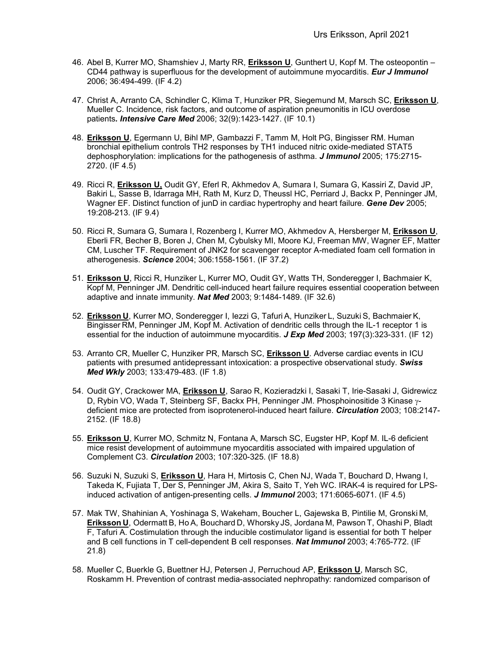- 46. Abel B, Kurrer MO, Shamshiev J, Marty RR, **Eriksson U**, Gunthert U, Kopf M. The osteopontin CD44 pathway is superfluous for the development of autoimmune myocarditis. *Eur J Immunol* 2006; 36:494-499. (IF 4.2)
- 47. Christ A, Arranto CA, Schindler C, Klima T, Hunziker PR, Siegemund M, Marsch SC, **Eriksson U**, Mueller C. Incidence, risk factors, and outcome of aspiration pneumonitis in ICU overdose patients*. Intensive Care Med* 2006; 32(9):1423-1427. (IF 10.1)
- 48. **Eriksson U**, Egermann U, Bihl MP, Gambazzi F, Tamm M, Holt PG, Bingisser RM. Human bronchial epithelium controls TH2 responses by TH1 induced nitric oxide-mediated STAT5 dephosphorylation: implications for the pathogenesis of asthma. *J Immunol* 2005; 175:2715- 2720. (IF 4.5)
- 49. Ricci R, **Eriksson U,** Oudit GY, Eferl R, Akhmedov A, Sumara I, Sumara G, Kassiri Z, David JP, Bakiri L, Sasse B, Idarraga MH, Rath M, Kurz D, Theussl HC, Perriard J, Backx P, Penninger JM, Wagner EF. Distinct function of junD in cardiac hypertrophy and heart failure. *Gene Dev* 2005; 19:208-213. (IF 9.4)
- 50. Ricci R, Sumara G, Sumara I, Rozenberg I, Kurrer MO, Akhmedov A, Hersberger M, **Eriksson U**, Eberli FR, Becher B, Boren J, Chen M, Cybulsky MI, Moore KJ, Freeman MW, Wagner EF, Matter CM, Luscher TF. Requirement of JNK2 for scavenger receptor A-mediated foam cell formation in atherogenesis. *Science* 2004; 306:1558-1561. (IF 37.2)
- 51. **Eriksson U**, Ricci R, Hunziker L, Kurrer MO, Oudit GY, Watts TH, Sonderegger I, Bachmaier K, Kopf M, Penninger JM. Dendritic cell-induced heart failure requires essential cooperation between adaptive and innate immunity. *Nat Med* 2003; 9:1484-1489. (IF 32.6)
- 52. **Eriksson U**, Kurrer MO, Sonderegger I, Iezzi G, Tafuri A, Hunziker L, Suzuki S, Bachmaier K, Bingisser RM, Penninger JM, Kopf M. Activation of dendritic cells through the IL-1 receptor 1 is essential for the induction of autoimmune myocarditis. *J Exp Med* 2003; 197(3):323-331. (IF 12)
- 53. Arranto CR, Mueller C, Hunziker PR, Marsch SC, **Eriksson U**. Adverse cardiac events in ICU patients with presumed antidepressant intoxication: a prospective observational study. *Swiss Med Wkly* 2003; 133:479-483. (IF 1.8)
- 54. Oudit GY, Crackower MA, **Eriksson U**, Sarao R, Kozieradzki I, Sasaki T, Irie-Sasaki J, Gidrewicz D, Rybin VO, Wada T, Steinberg SF, Backx PH, Penninger JM. Phosphoinositide 3 Kinase γdeficient mice are protected from isoprotenerol-induced heart failure. *Circulation* 2003; 108:2147- 2152. (IF 18.8)
- 55. **Eriksson U**, Kurrer MO, Schmitz N, Fontana A, Marsch SC, Eugster HP, Kopf M. IL-6 deficient mice resist development of autoimmune myocarditis associated with impaired upgulation of Complement C3. *Circulation* 2003; 107:320-325. (IF 18.8)
- 56. Suzuki N, Suzuki S, **Eriksson U**, Hara H, Mirtosis C, Chen NJ, Wada T, Bouchard D, Hwang I, Takeda K, Fujiata T, Der S, Penninger JM, Akira S, Saito T, Yeh WC. IRAK-4 is required for LPSinduced activation of antigen-presenting cells. *J Immunol* 2003; 171:6065-6071. (IF 4.5)
- 57. Mak TW, Shahinian A, Yoshinaga S, Wakeham, Boucher L, Gajewska B, Pintilie M, Gronski M, **Eriksson U**, Odermatt B, Ho A, Bouchard D, Whorsky JS, Jordana M, Pawson T, Ohashi P, Bladt F, Tafuri A. Costimulation through the inducible costimulator ligand is essential for both T helper and B cell functions in T cell-dependent B cell responses. *Nat Immunol* 2003; 4:765-772. (IF 21.8)
- 58. Mueller C, Buerkle G, Buettner HJ, Petersen J, Perruchoud AP, **Eriksson U**, Marsch SC, Roskamm H. Prevention of contrast media-associated nephropathy: randomized comparison of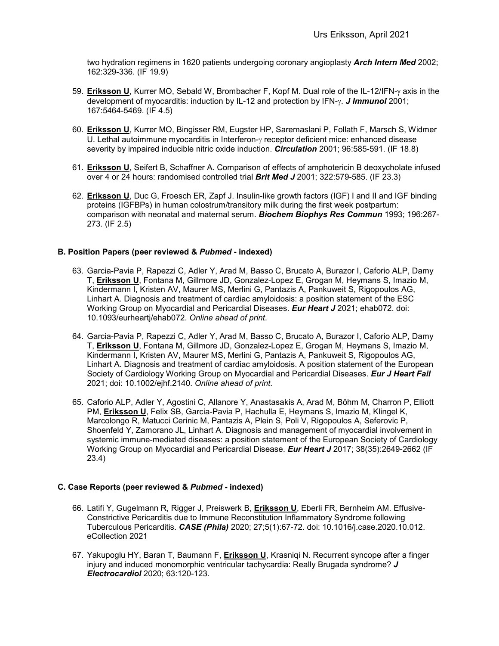two hydration regimens in 1620 patients undergoing coronary angioplasty *Arch Intern Med* 2002; 162:329-336. (IF 19.9)

- 59. **Eriksson U**, Kurrer MO, Sebald W, Brombacher F, Kopf M. Dual role of the IL-12/IFN-γ axis in the development of myocarditis: induction by IL-12 and protection by IFN-γ. *J Immunol* 2001; 167:5464-5469. (IF 4.5)
- 60. **Eriksson U**, Kurrer MO, Bingisser RM, Eugster HP, Saremaslani P, Follath F, Marsch S, Widmer U. Lethal autoimmune myocarditis in Interferon-γ receptor deficient mice: enhanced disease severity by impaired inducible nitric oxide induction. *Circulation* 2001; 96:585-591. (IF 18.8)
- 61. **Eriksson U**, Seifert B, Schaffner A. Comparison of effects of amphotericin B deoxycholate infused over 4 or 24 hours: randomised controlled trial *Brit Med J* 2001; 322:579-585. (IF 23.3)
- 62. **Eriksson U**, Duc G, Froesch ER, Zapf J. Insulin-like growth factors (IGF) I and II and IGF binding proteins (IGFBPs) in human colostrum/transitory milk during the first week postpartum: comparison with neonatal and maternal serum. *Biochem Biophys Res Commun* 1993; 196:267- 273. (IF 2.5)

## **B. Position Papers (peer reviewed &** *Pubmed* **- indexed)**

- 63. Garcia-Pavia P, Rapezzi C, Adler Y, Arad M, Basso C, Brucato A, Burazor I, Caforio ALP, Damy T, **Eriksson U**, Fontana M, Gillmore JD, Gonzalez-Lopez E, Grogan M, Heymans S, Imazio M, Kindermann I, Kristen AV, Maurer MS, Merlini G, Pantazis A, Pankuweit S, Rigopoulos AG, Linhart A. Diagnosis and treatment of cardiac amyloidosis: a position statement of the ESC Working Group on Myocardial and Pericardial Diseases. *Eur Heart J* 2021; ehab072. doi: 10.1093/eurheartj/ehab072. *Online ahead of print*.
- 64. Garcia-Pavia P, Rapezzi C, Adler Y, Arad M, Basso C, Brucato A, Burazor I, Caforio ALP, Damy T, **Eriksson U**, Fontana M, Gillmore JD, Gonzalez-Lopez E, Grogan M, Heymans S, Imazio M, Kindermann I, Kristen AV, Maurer MS, Merlini G, Pantazis A, Pankuweit S, Rigopoulos AG, Linhart A. Diagnosis and treatment of cardiac amyloidosis. A position statement of the European Society of Cardiology Working Group on Myocardial and Pericardial Diseases. *Eur J Heart Fail* 2021; doi: 10.1002/ejhf.2140. *Online ahead of print.*
- 65. Caforio ALP, Adler Y, Agostini C, Allanore Y, Anastasakis A, Arad M, Böhm M, Charron P, Elliott PM, **Eriksson U**, Felix SB, Garcia-Pavia P, Hachulla E, Heymans S, Imazio M, Klingel K, Marcolongo R, Matucci Cerinic M, Pantazis A, Plein S, Poli V, Rigopoulos A, Seferovic P, Shoenfeld Y, Zamorano JL, Linhart A. Diagnosis and management of myocardial involvement in systemic immune-mediated diseases: a position statement of the European Society of Cardiology Working Group on Myocardial and Pericardial Disease. *Eur Heart J* 2017; 38(35):2649-2662 (IF 23.4)

### **C. Case Reports (peer reviewed &** *Pubmed* **- indexed)**

- 66. Latifi Y, Gugelmann R, Rigger J, Preiswerk B, **Eriksson U**, Eberli FR, Bernheim AM. Effusive-Constrictive Pericarditis due to Immune Reconstitution Inflammatory Syndrome following Tuberculous Pericarditis. *CASE (Phila)* 2020; 27;5(1):67-72. doi: 10.1016/j.case.2020.10.012. eCollection 2021
- 67. Yakupoglu HY, Baran T, Baumann F, **Eriksson U**, Krasniqi N. Recurrent syncope after a finger injury and induced monomorphic ventricular tachycardia: Really Brugada syndrome? *J Electrocardiol* 2020; 63:120-123.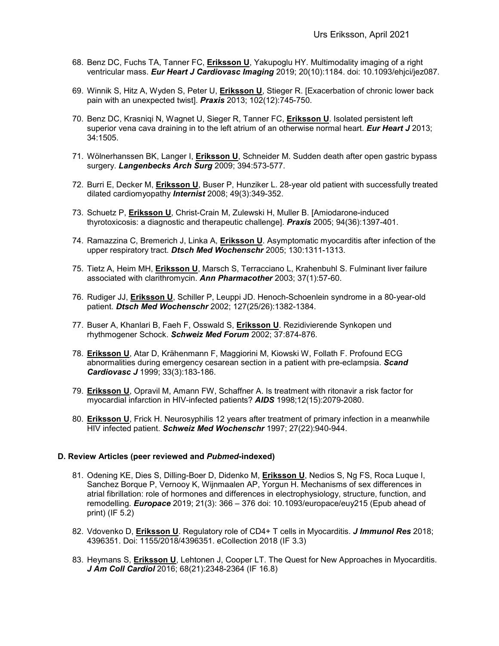- 68. Benz DC, Fuchs TA, Tanner FC, **Eriksson U**, Yakupoglu HY. Multimodality imaging of a right ventricular mass. *Eur Heart J Cardiovasc Imaging* 2019; 20(10):1184. doi: 10.1093/ehjci/jez087.
- 69. Winnik S, Hitz A, Wyden S, Peter U, **Eriksson U**, Stieger R. [Exacerbation of chronic lower back pain with an unexpected twist]. *Praxis* 2013; 102(12):745-750.
- 70. Benz DC, Krasniqi N, Wagnet U, Sieger R, Tanner FC, **Eriksson U**. Isolated persistent left superior vena cava draining in to the left atrium of an otherwise normal heart. *Eur Heart J* 2013; 34:1505.
- 71. Wölnerhanssen BK, Langer I, **Eriksson U**, Schneider M. Sudden death after open gastric bypass surgery. *Langenbecks Arch Surg* 2009; 394:573-577.
- 72. Burri E, Decker M, **Eriksson U**, Buser P, Hunziker L. 28-year old patient with successfully treated dilated cardiomyopathy *Internist* 2008; 49(3):349-352.
- 73. Schuetz P, **Eriksson U**, Christ-Crain M, Zulewski H, Muller B. [Amiodarone-induced thyrotoxicosis: a diagnostic and therapeutic challenge]. *Praxis* 2005; 94(36):1397-401.
- 74. Ramazzina C, Bremerich J, Linka A, **Eriksson U**. Asymptomatic myocarditis after infection of the upper respiratory tract. *Dtsch Med Wochenschr* 2005; 130:1311-1313.
- 75. Tietz A, Heim MH, **Eriksson U**, Marsch S, Terracciano L, Krahenbuhl S. Fulminant liver failure associated with clarithromycin. *Ann Pharmacother* 2003; 37(1):57-60.
- 76. Rudiger JJ, **Eriksson U**, Schiller P, Leuppi JD. Henoch-Schoenlein syndrome in a 80-year-old patient. *Dtsch Med Wochenschr* 2002; 127(25/26):1382-1384.
- 77. Buser A, Khanlari B, Faeh F, Osswald S, **Eriksson U**. Rezidivierende Synkopen und rhythmogener Schock. *Schweiz Med Forum* 2002; 37:874-876.
- 78. **Eriksson U**, Atar D, Krähenmann F, Maggiorini M, Kiowski W, Follath F. Profound ECG abnormalities during emergency cesarean section in a patient with pre-eclampsia. *Scand Cardiovasc J* 1999; 33(3):183-186.
- 79. **Eriksson U**, Opravil M, Amann FW, Schaffner A. Is treatment with ritonavir a risk factor for myocardial infarction in HIV-infected patients? *AIDS* 1998;12(15):2079-2080.
- 80. **Eriksson U**, Frick H. Neurosyphilis 12 years after treatment of primary infection in a meanwhile HIV infected patient. *Schweiz Med Wochenschr* 1997; 27(22):940-944.

#### **D. Review Articles (peer reviewed and** *Pubmed***-indexed)**

- 81. Odening KE, Dies S, Dilling-Boer D, Didenko M, **Eriksson U**, Nedios S, Ng FS, Roca Luque I, Sanchez Borque P, Vernooy K, Wijnmaalen AP, Yorgun H. Mechanisms of sex differences in atrial fibrillation: role of hormones and differences in electrophysiology, structure, function, and remodelling. *Europace* 2019; 21(3): 366 – 376 doi: 10.1093/europace/euy215 (Epub ahead of print) (IF 5.2)
- 82. Vdovenko D, **Eriksson U**. Regulatory role of CD4+ T cells in Myocarditis. *J Immunol Res* 2018; 4396351. Doi: 1155/2018/4396351. eCollection 2018 (IF 3.3)
- 83. Heymans S, **Eriksson U**, Lehtonen J, Cooper LT. The Quest for New Approaches in Myocarditis. *J Am Coll Cardiol* 2016; 68(21):2348-2364 (IF 16.8)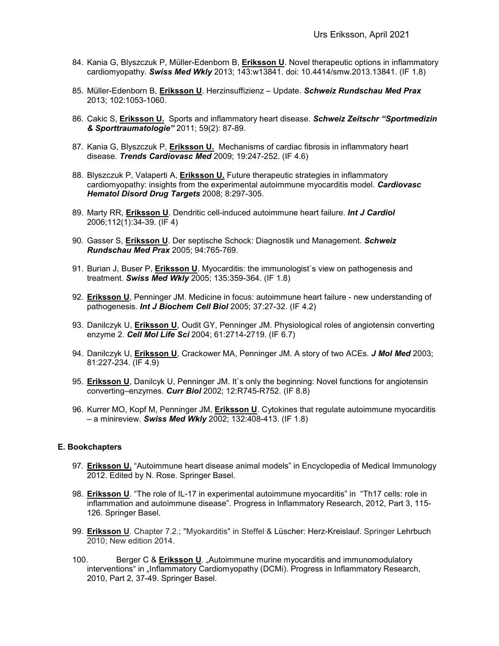- 84. Kania G, Blyszczuk P, Müller-Edenborn B, **Eriksson U**. Novel therapeutic options in inflammatory cardiomyopathy. *Swiss Med Wkly* 2013; 143:w13841. doi: 10.4414/smw.2013.13841. (IF 1.8)
- 85. Müller-Edenborn B, **Eriksson U**. Herzinsuffizienz Update. *Schweiz Rundschau Med Prax*  2013; 102:1053-1060.
- 86. Cakic S, **Eriksson U.** Sports and inflammatory heart disease. *Schweiz Zeitschr "Sportmedizin & Sporttraumatologie"* 2011; 59(2): 87-89.
- 87. Kania G, Blyszczuk P, **Eriksson U.** Mechanisms of cardiac fibrosis in inflammatory heart disease. *Trends Cardiovasc Med* 2009; 19:247-252. (IF 4.6)
- 88. Blyszczuk P, Valaperti A, **Eriksson U.** Future therapeutic strategies in inflammatory cardiomyopathy: insights from the experimental autoimmune myocarditis model. *Cardiovasc Hematol Disord Drug Targets* 2008; 8:297-305.
- 89. Marty RR, **Eriksson U**. Dendritic cell-induced autoimmune heart failure. *Int J Cardiol* 2006;112(1):34-39. (IF 4)
- 90. Gasser S, **Eriksson U**. Der septische Schock: Diagnostik und Management. *Schweiz Rundschau Med Prax* 2005; 94:765-769.
- 91. Burian J, Buser P, **Eriksson U**. Myocarditis: the immunologist`s view on pathogenesis and treatment. *Swiss Med Wkly* 2005; 135:359-364. (IF 1.8)
- 92. **Eriksson U**, Penninger JM. Medicine in focus: autoimmune heart failure new understanding of pathogenesis. *Int J Biochem Cell Biol* 2005; 37:27-32. (IF 4.2)
- 93. Danilczyk U, **Eriksson U**, Oudit GY, Penninger JM. Physiological roles of angiotensin converting enzyme 2. *Cell Mol Life Sci* 2004; 61:2714-2719. (IF 6.7)
- 94. Danilczyk U, **Eriksson U**, Crackower MA, Penninger JM. A story of two ACEs. *J Mol Med* 2003; 81:227-234. (IF 4.9)
- 95. **Eriksson U**, Danilcyk U, Penninger JM. It`s only the beginning: Novel functions for angiotensin converting–enzymes. *Curr Biol* 2002; 12:R745-R752. (IF 8.8)
- 96. Kurrer MO, Kopf M, Penninger JM, **Eriksson U**. Cytokines that regulate autoimmune myocarditis – a minireview. *Swiss Med Wkly* 2002; 132:408-413. (IF 1.8)

### **E. Bookchapters**

- 97. **Eriksson U.** "Autoimmune heart disease animal models" in Encyclopedia of Medical Immunology 2012. Edited by N. Rose. Springer Basel.
- 98. **Eriksson U**. "The role of IL-17 in experimental autoimmune myocarditis" in "Th17 cells: role in inflammation and autoimmune disease". Progress in Inflammatory Research, 2012, Part 3, 115- 126. Springer Basel.
- 99. **Eriksson U**. Chapter 7.2.; "Myokarditis" in Steffel & Lüscher: Herz-Kreislauf. Springer Lehrbuch 2010; New edition 2014.
- 100. Berger C & **Eriksson U**. "Autoimmune murine myocarditis and immunomodulatory interventions" in "Inflammatory Cardiomyopathy (DCMi). Progress in Inflammatory Research, 2010, Part 2, 37-49. Springer Basel.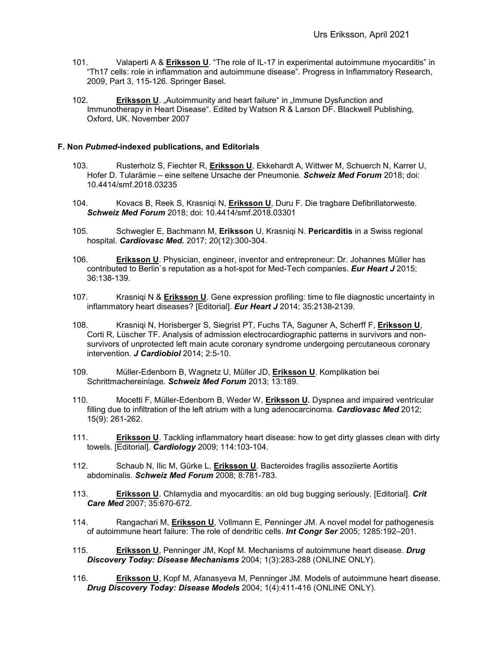- 101. Valaperti A & **Eriksson U**. "The role of IL-17 in experimental autoimmune myocarditis" in "Th17 cells: role in inflammation and autoimmune disease". Progress in Inflammatory Research, 2009, Part 3, 115-126. Springer Basel.
- 102. **Eriksson U**. "Autoimmunity and heart failure" in "Immune Dysfunction and Immunotherapy in Heart Disease". Edited by Watson R & Larson DF. Blackwell Publishing, Oxford, UK. November 2007

### **F. Non** *Pubmed***-indexed publications, and Editorials**

- 103. Rusterholz S, Fiechter R, **Eriksson U**, Ekkehardt A, Wittwer M, Schuerch N, Karrer U, Hofer D. Tularämie – eine seltene Ursache der Pneumonie. *Schweiz Med Forum* 2018; doi: 10.4414/smf.2018.03235
- 104. Kovacs B, Reek S, Krasniqi N, **Eriksson U**, Duru F. Die tragbare Defibrillatorweste. *Schweiz Med Forum* 2018; doi: 10.4414/smf.2018.03301
- 105. Schwegler E, Bachmann M, **Eriksson** U, Krasniqi N. **Pericarditis** in a Swiss regional hospital. *Cardiovasc Med.* 2017; 20(12):300-304.
- 106. **Eriksson U**. Physician, engineer, inventor and entrepreneur: Dr. Johannes Müller has contributed to Berlin`s reputation as a hot-spot for Med-Tech companies. *Eur Heart J* 2015; 36:138-139.
- 107. Krasniqi N & **Eriksson U**. Gene expression profiling: time to file diagnostic uncertainty in inflammatory heart diseases? [Editorial]. *Eur Heart J* 2014; 35:2138-2139.
- 108. Krasniqi N, Horisberger S, Siegrist PT, Fuchs TA, Saguner A, Scherff F, **Eriksson U**, Corti R, Lüscher TF. Analysis of admission electrocardiographic patterns in survivors and nonsurvivors of unprotected left main acute coronary syndrome undergoing percutaneous coronary intervention. *J Cardiobiol* 2014; 2:5-10.
- 109. Müller-Edenborn B, Wagnetz U, Müller JD, **Eriksson U**. Komplikation bei Schrittmachereinlage. *Schweiz Med Forum* 2013; 13:189.
- 110. Mocetti F, Müller-Edenborn B, Weder W, **Eriksson U.** Dyspnea and impaired ventricular filling due to infiltration of the left atrium with a lung adenocarcinoma. *Cardiovasc Med* 2012; 15(9): 261-262.
- 111. **Eriksson U**. Tackling inflammatory heart disease: how to get dirty glasses clean with dirty towels. [Editorial]. *Cardiology* 2009; 114:103-104.
- 112. Schaub N, Ilic M, Gürke L, **Eriksson U**. Bacteroides fragilis assoziierte Aortitis abdominalis. *Schweiz Med Forum* 2008; 8:781-783.
- 113. **Eriksson U**. Chlamydia and myocarditis: an old bug bugging seriously. [Editorial]. *Crit Care Med* 2007; 35:670-672.
- 114. Rangachari M, **Eriksson U**, Vollmann E, Penninger JM. A novel model for pathogenesis of autoimmune heart failure: The role of dendritic cells. *Int Congr Ser* 2005; 1285:192–201.
- 115. **Eriksson U**, Penninger JM, Kopf M. Mechanisms of autoimmune heart disease. *Drug Discovery Today: Disease Mechanisms* 2004; 1(3):283-288 (ONLINE ONLY).
- 116. **Eriksson U**, Kopf M, Afanasyeva M, Penninger JM. Models of autoimmune heart disease. *Drug Discovery Today: Disease Models* 2004; 1(4):411-416 (ONLINE ONLY).